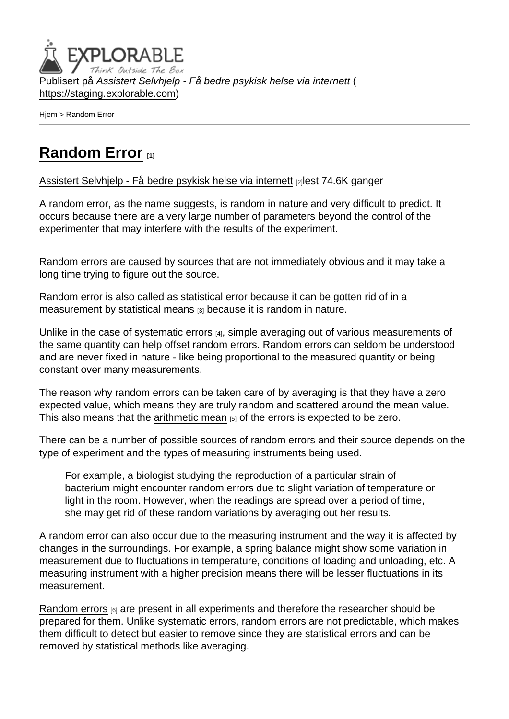Publisert på Assistert Selvhjelp - Få bedre psykisk helse via internett ( <https://staging.explorable.com>)

[Hjem](https://staging.explorable.com/) > Random Error

## [Random Error](https://staging.explorable.com/random-error) [1]

[Assistert Selvhjelp - Få bedre psykisk helse via internett](https://staging.explorable.com/en) [2]lest 74.6K ganger

A random error, as the name suggests, is random in nature and very difficult to predict. It occurs because there are a very large number of parameters beyond the control of the experimenter that may interfere with the results of the experiment.

Random errors are caused by sources that are not immediately obvious and it may take a long time trying to figure out the source.

Random error is also called as statistical error because it can be gotten rid of in a measurement by [statistical means](https://staging.explorable.com/statistical-mean) [3] because it is random in nature.

Unlike in the case of [systematic errors](https://staging.explorable.com/systematic-error) [4], simple averaging out of various measurements of the same quantity can help offset random errors. Random errors can seldom be understood and are never fixed in nature - like being proportional to the measured quantity or being constant over many measurements.

The reason why random errors can be taken care of by averaging is that they have a zero expected value, which means they are truly random and scattered around the mean value. This also means that the [arithmetic mean](https://staging.explorable.com/arithmetic-mean)  $[5]$  of the errors is expected to be zero.

There can be a number of possible sources of random errors and their source depends on the type of experiment and the types of measuring instruments being used.

For example, a biologist studying the reproduction of a particular strain of bacterium might encounter random errors due to slight variation of temperature or light in the room. However, when the readings are spread over a period of time, she may get rid of these random variations by averaging out her results.

A random error can also occur due to the measuring instrument and the way it is affected by changes in the surroundings. For example, a spring balance might show some variation in measurement due to fluctuations in temperature, conditions of loading and unloading, etc. A measuring instrument with a higher precision means there will be lesser fluctuations in its measurement.

[Random errors](http://en.wikipedia.org/wiki/Random_error) [6] are present in all experiments and therefore the researcher should be prepared for them. Unlike systematic errors, random errors are not predictable, which makes them difficult to detect but easier to remove since they are statistical errors and can be removed by statistical methods like averaging.